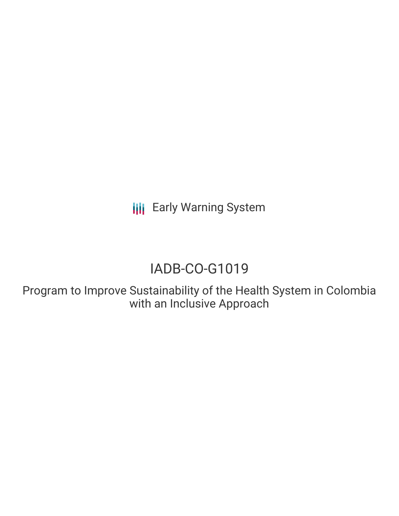**III** Early Warning System

# IADB-CO-G1019

Program to Improve Sustainability of the Health System in Colombia with an Inclusive Approach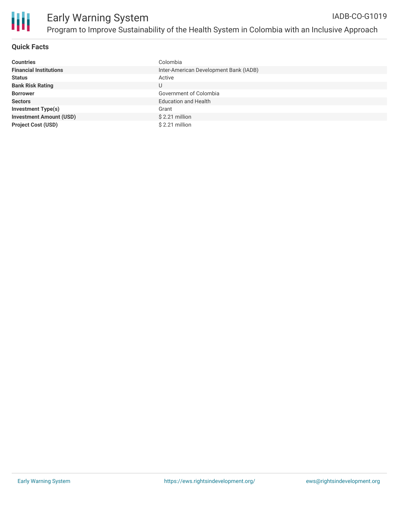

### **Quick Facts**

| <b>Countries</b>               | Colombia                               |
|--------------------------------|----------------------------------------|
| <b>Financial Institutions</b>  | Inter-American Development Bank (IADB) |
| <b>Status</b>                  | Active                                 |
| <b>Bank Risk Rating</b>        | U                                      |
| <b>Borrower</b>                | Government of Colombia                 |
| <b>Sectors</b>                 | <b>Education and Health</b>            |
| <b>Investment Type(s)</b>      | Grant                                  |
| <b>Investment Amount (USD)</b> | $$2.21$ million                        |
| <b>Project Cost (USD)</b>      | $$2.21$ million                        |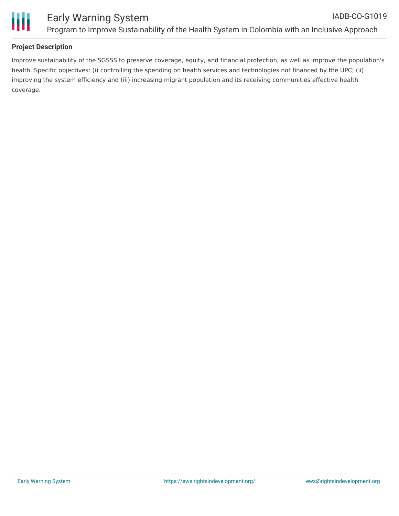

# **Project Description**

Improve sustainability of the SGSSS to preserve coverage, equity, and financial protection, as well as improve the population's health. Specific objectives: (i) controlling the spending on health services and technologies not financed by the UPC; (ii) improving the system efficiency and (iii) increasing migrant population and its receiving communities effective health coverage.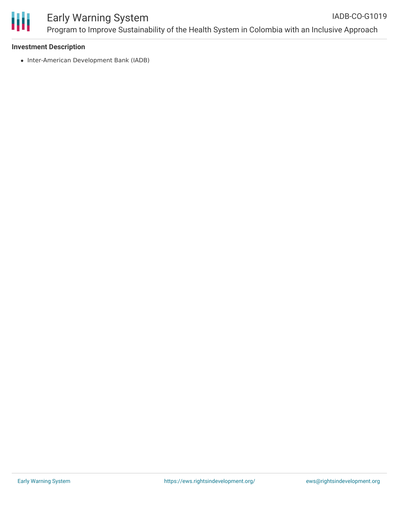

# Early Warning System Program to Improve Sustainability of the Health System in Colombia with an Inclusive Approach

#### **Investment Description**

• Inter-American Development Bank (IADB)

IADB-CO-G1019